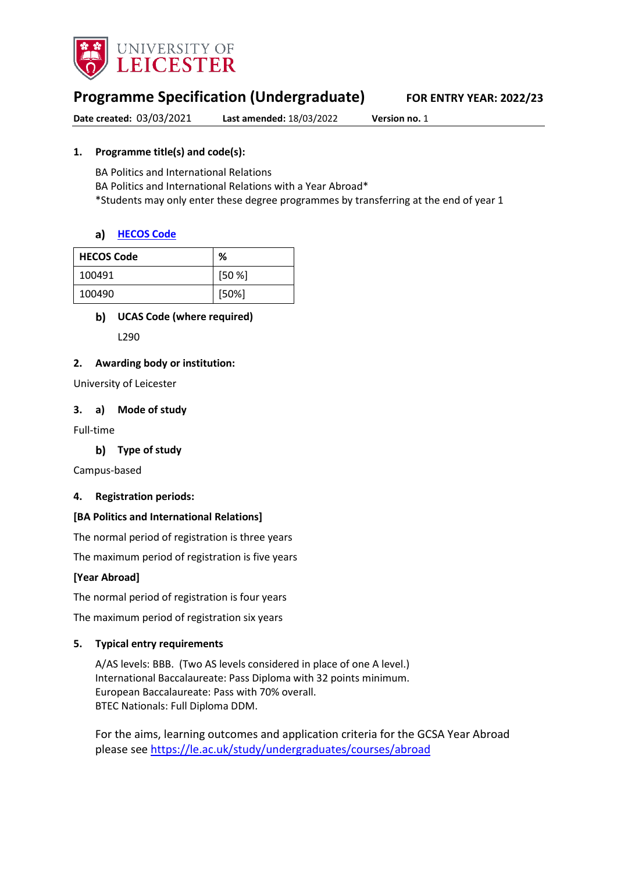

# **Programme Specification (Undergraduate) FOR ENTRY YEAR: 2022/23**

**Date created:** 03/03/2021 **Last amended:** 18/03/2022 **Version no.** 1

### **1. Programme title(s) and code(s):**

BA Politics and International Relations BA Politics and International Relations with a Year Abroad\* \*Students may only enter these degree programmes by transferring at the end of year 1

### **[HECOS Code](https://www.hesa.ac.uk/innovation/hecos)**

| <b>HECOS Code</b> | %        |
|-------------------|----------|
| 100491            | [50%]    |
| 100490            | $[50\%]$ |

### **UCAS Code (where required)**

L290

#### **2. Awarding body or institution:**

University of Leicester

#### **3. a) Mode of study**

Full-time

**Type of study**

Campus-based

#### **4. Registration periods:**

#### **[BA Politics and International Relations]**

The normal period of registration is three years

The maximum period of registration is five years

### **[Year Abroad]**

The normal period of registration is four years

The maximum period of registration six years

#### **5. Typical entry requirements**

A/AS levels: BBB. (Two AS levels considered in place of one A level.) International Baccalaureate: Pass Diploma with 32 points minimum. European Baccalaureate: Pass with 70% overall. BTEC Nationals: Full Diploma DDM.

For the aims, learning outcomes and application criteria for the GCSA Year Abroad please see <https://le.ac.uk/study/undergraduates/courses/abroad>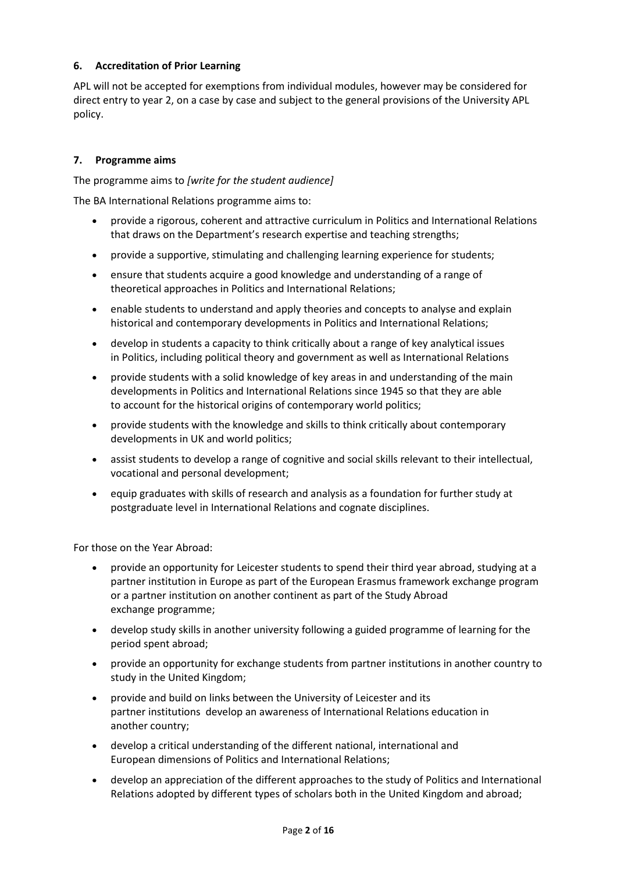### **6. Accreditation of Prior Learning**

APL will not be accepted for exemptions from individual modules, however may be considered for direct entry to year 2, on a case by case and subject to the general provisions of the University APL policy.

#### **7. Programme aims**

The programme aims to *[write for the student audience]*

The BA International Relations programme aims to:

- provide a rigorous, coherent and attractive curriculum in Politics and International Relations that draws on the Department's research expertise and teaching strengths;
- provide a supportive, stimulating and challenging learning experience for students;
- ensure that students acquire a good knowledge and understanding of a range of theoretical approaches in Politics and International Relations;
- enable students to understand and apply theories and concepts to analyse and explain historical and contemporary developments in Politics and International Relations;
- develop in students a capacity to think critically about a range of key analytical issues in Politics, including political theory and government as well as International Relations
- provide students with a solid knowledge of key areas in and understanding of the main developments in Politics and International Relations since 1945 so that they are able to account for the historical origins of contemporary world politics;
- provide students with the knowledge and skills to think critically about contemporary developments in UK and world politics;
- assist students to develop a range of cognitive and social skills relevant to their intellectual, vocational and personal development;
- equip graduates with skills of research and analysis as a foundation for further study at postgraduate level in International Relations and cognate disciplines.

For those on the Year Abroad:

- provide an opportunity for Leicester students to spend their third year abroad, studying at a partner institution in Europe as part of the European Erasmus framework exchange program or a partner institution on another continent as part of the Study Abroad exchange programme;
- develop study skills in another university following a guided programme of learning for the period spent abroad;
- provide an opportunity for exchange students from partner institutions in another country to study in the United Kingdom;
- provide and build on links between the University of Leicester and its partner institutions develop an awareness of International Relations education in another country;
- develop a critical understanding of the different national, international and European dimensions of Politics and International Relations;
- develop an appreciation of the different approaches to the study of Politics and International Relations adopted by different types of scholars both in the United Kingdom and abroad;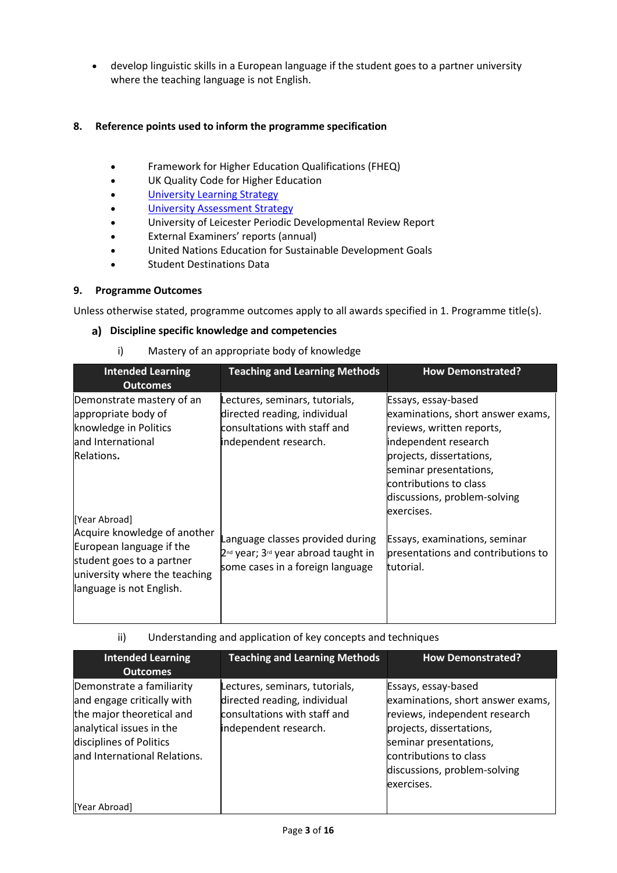• develop linguistic skills in a European language if the student goes to a partner university where the teaching language is not English.

### **8. Reference points used to inform the programme specification**

- Framework for Higher Education Qualifications (FHEQ)
- UK Quality Code for Higher Education
- University Learning [Strategy](https://www2.le.ac.uk/offices/sas2/quality/learnteach)
- [University Assessment Strategy](https://www2.le.ac.uk/offices/sas2/quality/learnteach)
- University of Leicester Periodic Developmental Review Report
- External Examiners' reports (annual)
- United Nations Education for Sustainable Development Goals
- Student Destinations Data

#### **9. Programme Outcomes**

Unless otherwise stated, programme outcomes apply to all awards specified in 1. Programme title(s).

#### **Discipline specific knowledge and competencies**

i) Mastery of an appropriate body of knowledge

| <b>Intended Learning</b><br><b>Outcomes</b>                                                                                                        | <b>Teaching and Learning Methods</b>                                                                                                | <b>How Demonstrated?</b>                                                                                                   |
|----------------------------------------------------------------------------------------------------------------------------------------------------|-------------------------------------------------------------------------------------------------------------------------------------|----------------------------------------------------------------------------------------------------------------------------|
| Demonstrate mastery of an<br>appropriate body of<br>knowledge in Politics<br>and International                                                     | Lectures, seminars, tutorials,<br>directed reading, individual<br>consultations with staff and<br>independent research.             | Essays, essay-based<br>examinations, short answer exams,<br>reviews, written reports,<br>independent research              |
| Relations.<br>[Year Abroad]                                                                                                                        |                                                                                                                                     | projects, dissertations,<br>seminar presentations,<br>contributions to class<br>discussions, problem-solving<br>exercises. |
| Acquire knowledge of another<br>European language if the<br>student goes to a partner<br>university where the teaching<br>language is not English. | Language classes provided during<br>2 <sup>nd</sup> year; 3 <sup>rd</sup> year abroad taught in<br>some cases in a foreign language | Essays, examinations, seminar<br>presentations and contributions to<br>tutorial.                                           |

ii) Understanding and application of key concepts and techniques

| <b>Intended Learning</b><br><b>Outcomes</b>                                                                                                                                 | <b>Teaching and Learning Methods</b>                                                                                    | <b>How Demonstrated?</b>                                                                                                                                                                                                |
|-----------------------------------------------------------------------------------------------------------------------------------------------------------------------------|-------------------------------------------------------------------------------------------------------------------------|-------------------------------------------------------------------------------------------------------------------------------------------------------------------------------------------------------------------------|
| Demonstrate a familiarity<br>and engage critically with<br>the major theoretical and<br>analytical issues in the<br>disciplines of Politics<br>and International Relations. | Lectures, seminars, tutorials,<br>directed reading, individual<br>consultations with staff and<br>independent research. | Essays, essay-based<br>examinations, short answer exams,<br>reviews, independent research<br>projects, dissertations,<br>seminar presentations,<br>contributions to class<br>discussions, problem-solving<br>exercises. |
| [Year Abroad]                                                                                                                                                               |                                                                                                                         |                                                                                                                                                                                                                         |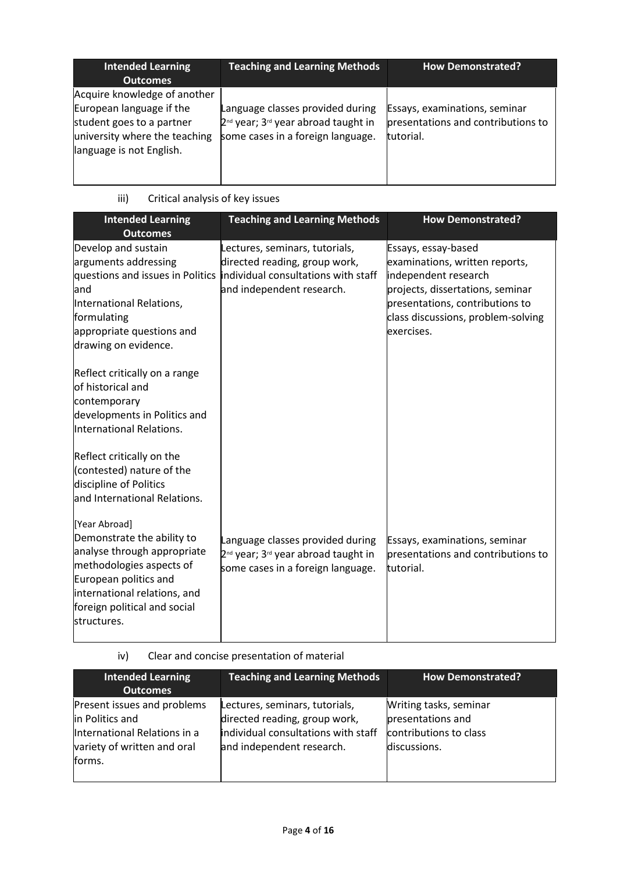| <b>Intended Learning</b><br><b>Outcomes</b>                                                                                                        | <b>Teaching and Learning Methods</b>                                                                                                 | <b>How Demonstrated?</b>                                                         |
|----------------------------------------------------------------------------------------------------------------------------------------------------|--------------------------------------------------------------------------------------------------------------------------------------|----------------------------------------------------------------------------------|
| Acquire knowledge of another<br>European language if the<br>student goes to a partner<br>university where the teaching<br>language is not English. | Language classes provided during<br>2 <sup>nd</sup> year; 3 <sup>rd</sup> year abroad taught in<br>some cases in a foreign language. | Essays, examinations, seminar<br>presentations and contributions to<br>tutorial. |

# iii) Critical analysis of key issues

| <b>Intended Learning</b><br><b>Outcomes</b>                                                                                                                                                                    | <b>Teaching and Learning Methods</b>                                                                                                                                 | <b>How Demonstrated?</b>                                                                                                                                                                                 |
|----------------------------------------------------------------------------------------------------------------------------------------------------------------------------------------------------------------|----------------------------------------------------------------------------------------------------------------------------------------------------------------------|----------------------------------------------------------------------------------------------------------------------------------------------------------------------------------------------------------|
| Develop and sustain<br>arguments addressing<br>and<br>International Relations,<br>formulating<br>appropriate questions and<br>drawing on evidence.                                                             | Lectures, seminars, tutorials,<br>directed reading, group work,<br>questions and issues in Politics individual consultations with staff<br>and independent research. | Essays, essay-based<br>examinations, written reports,<br>independent research<br>projects, dissertations, seminar<br>presentations, contributions to<br>class discussions, problem-solving<br>exercises. |
| Reflect critically on a range<br>of historical and<br>contemporary<br>developments in Politics and<br>International Relations.                                                                                 |                                                                                                                                                                      |                                                                                                                                                                                                          |
| Reflect critically on the<br>(contested) nature of the<br>discipline of Politics<br>and International Relations.                                                                                               |                                                                                                                                                                      |                                                                                                                                                                                                          |
| [Year Abroad]<br>Demonstrate the ability to<br>analyse through appropriate<br>methodologies aspects of<br>European politics and<br>international relations, and<br>foreign political and social<br>structures. | Language classes provided during<br>2 <sup>nd</sup> year; 3 <sup>rd</sup> year abroad taught in<br>some cases in a foreign language.                                 | Essays, examinations, seminar<br>presentations and contributions to<br>tutorial.                                                                                                                         |

iv) Clear and concise presentation of material

| <b>Intended Learning</b><br><b>Outcomes</b>                                                                             | <b>Teaching and Learning Methods</b>                                                                                                | <b>How Demonstrated?</b>                                                              |
|-------------------------------------------------------------------------------------------------------------------------|-------------------------------------------------------------------------------------------------------------------------------------|---------------------------------------------------------------------------------------|
| Present issues and problems<br>in Politics and<br>International Relations in a<br>variety of written and oral<br>forms. | Lectures, seminars, tutorials,<br>directed reading, group work,<br>individual consultations with staff<br>and independent research. | Writing tasks, seminar<br>presentations and<br>contributions to class<br>discussions. |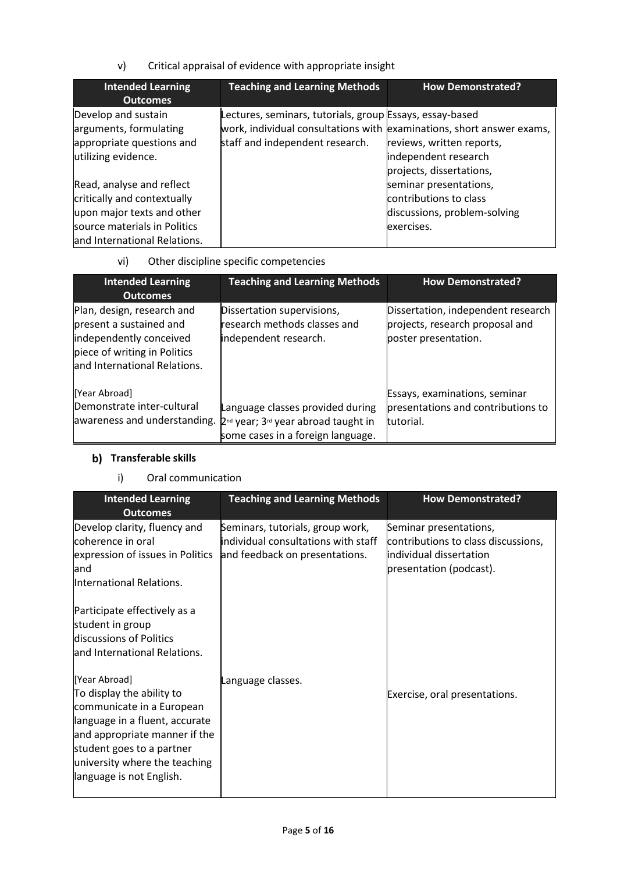v) Critical appraisal of evidence with appropriate insight

| <b>Intended Learning</b><br><b>Outcomes</b> | <b>Teaching and Learning Methods</b>                                  | <b>How Demonstrated?</b>     |
|---------------------------------------------|-----------------------------------------------------------------------|------------------------------|
|                                             |                                                                       |                              |
| Develop and sustain                         | Lectures, seminars, tutorials, group Essays, essay-based              |                              |
| arguments, formulating                      | work, individual consultations with examinations, short answer exams, |                              |
| appropriate questions and                   | staff and independent research.                                       | reviews, written reports,    |
| utilizing evidence.                         |                                                                       | independent research         |
|                                             |                                                                       | projects, dissertations,     |
| Read, analyse and reflect                   |                                                                       | seminar presentations,       |
| critically and contextually                 |                                                                       | contributions to class       |
| upon major texts and other                  |                                                                       | discussions, problem-solving |
| source materials in Politics                |                                                                       | exercises.                   |
| and International Relations.                |                                                                       |                              |

# vi) Other discipline specific competencies

| <b>Intended Learning</b><br><b>Outcomes</b>                                                                                                      | <b>Teaching and Learning Methods</b>                                                                                                 | <b>How Demonstrated?</b>                                                                      |
|--------------------------------------------------------------------------------------------------------------------------------------------------|--------------------------------------------------------------------------------------------------------------------------------------|-----------------------------------------------------------------------------------------------|
| Plan, design, research and<br>present a sustained and<br>independently conceived<br>piece of writing in Politics<br>and International Relations. | Dissertation supervisions,<br>research methods classes and<br>independent research.                                                  | Dissertation, independent research<br>projects, research proposal and<br>poster presentation. |
| [Year Abroad]<br>Demonstrate inter-cultural<br>awareness and understanding.                                                                      | Language classes provided during<br>2 <sup>nd</sup> year; 3 <sup>rd</sup> year abroad taught in<br>some cases in a foreign language. | Essays, examinations, seminar<br>presentations and contributions to<br>tutorial.              |

# **b)** Transferable skills

### i) Oral communication

| <b>Intended Learning</b><br><b>Outcomes</b>                                                                                                                                                                                          | <b>Teaching and Learning Methods</b>                                                                             | <b>How Demonstrated?</b>                                                                                            |
|--------------------------------------------------------------------------------------------------------------------------------------------------------------------------------------------------------------------------------------|------------------------------------------------------------------------------------------------------------------|---------------------------------------------------------------------------------------------------------------------|
| Develop clarity, fluency and<br>coherence in oral<br>expression of issues in Politics<br>land<br>International Relations.                                                                                                            | Seminars, tutorials, group work,<br><b>individual consultations with staff</b><br>and feedback on presentations. | Seminar presentations,<br>contributions to class discussions,<br>individual dissertation<br>presentation (podcast). |
| Participate effectively as a<br>student in group<br>discussions of Politics<br>and International Relations.                                                                                                                          |                                                                                                                  |                                                                                                                     |
| [Year Abroad]<br>To display the ability to<br>communicate in a European<br>language in a fluent, accurate<br>and appropriate manner if the<br>student goes to a partner<br>university where the teaching<br>language is not English. | Language classes.                                                                                                | Exercise, oral presentations.                                                                                       |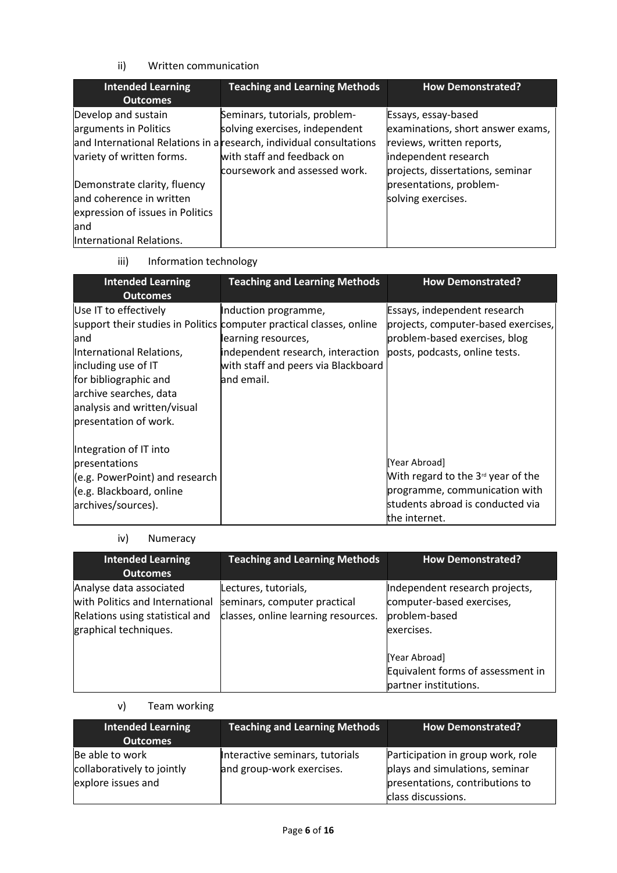### ii) Written communication

| <b>Intended Learning</b>         | <b>Teaching and Learning Methods</b>                                | <b>How Demonstrated?</b>                                 |
|----------------------------------|---------------------------------------------------------------------|----------------------------------------------------------|
| <b>Outcomes</b>                  |                                                                     |                                                          |
| Develop and sustain              | Seminars, tutorials, problem-<br>solving exercises, independent     | Essays, essay-based<br>examinations, short answer exams, |
| arguments in Politics            |                                                                     |                                                          |
|                                  | and International Relations in a research, individual consultations | reviews, written reports,                                |
| variety of written forms.        | with staff and feedback on<br>coursework and assessed work.         | independent research<br>projects, dissertations, seminar |
| Demonstrate clarity, fluency     |                                                                     | presentations, problem-                                  |
| and coherence in written         |                                                                     | solving exercises.                                       |
| expression of issues in Politics |                                                                     |                                                          |
| land                             |                                                                     |                                                          |
| International Relations.         |                                                                     |                                                          |

iii) Information technology

| <b>Intended Learning</b><br><b>Outcomes</b>                                                                                                                                                 | <b>Teaching and Learning Methods</b>                                                                                                                                                                          | <b>How Demonstrated?</b>                                                                                                                   |
|---------------------------------------------------------------------------------------------------------------------------------------------------------------------------------------------|---------------------------------------------------------------------------------------------------------------------------------------------------------------------------------------------------------------|--------------------------------------------------------------------------------------------------------------------------------------------|
| Use IT to effectively<br>land<br>International Relations,<br>including use of IT<br>for bibliographic and<br>archive searches, data<br>analysis and written/visual<br>presentation of work. | Induction programme,<br>support their studies in Politics computer practical classes, online<br>learning resources,<br>independent research, interaction<br>with staff and peers via Blackboard<br>and email. | Essays, independent research<br>projects, computer-based exercises,<br>problem-based exercises, blog<br>posts, podcasts, online tests.     |
| Integration of IT into<br><b>presentations</b><br>$(e.g. PowerPoint)$ and research<br>(e.g. Blackboard, online<br>archives/sources).                                                        |                                                                                                                                                                                                               | [Year Abroad]<br>With regard to the $3d$ year of the<br>programme, communication with<br>students abroad is conducted via<br>the internet. |

### iv) Numeracy

| <b>Intended Learning</b><br><b>Outcomes</b>                                                                            | <b>Teaching and Learning Methods</b>                                                        | <b>How Demonstrated?</b>                                                                   |
|------------------------------------------------------------------------------------------------------------------------|---------------------------------------------------------------------------------------------|--------------------------------------------------------------------------------------------|
| Analyse data associated<br>with Politics and International<br>Relations using statistical and<br>graphical techniques. | Lectures, tutorials,<br>seminars, computer practical<br>classes, online learning resources. | Independent research projects,<br>computer-based exercises,<br>problem-based<br>exercises. |
|                                                                                                                        |                                                                                             | [Year Abroad]<br>Equivalent forms of assessment in<br>partner institutions.                |

# v) Team working

| <b>Intended Learning</b><br><b>Outcomes</b>                         | <b>Teaching and Learning Methods</b>                         | <b>How Demonstrated?</b>                                                                                                     |
|---------------------------------------------------------------------|--------------------------------------------------------------|------------------------------------------------------------------------------------------------------------------------------|
| Be able to work<br>collaboratively to jointly<br>explore issues and | Interactive seminars, tutorials<br>and group-work exercises. | Participation in group work, role<br>plays and simulations, seminar<br>presentations, contributions to<br>class discussions. |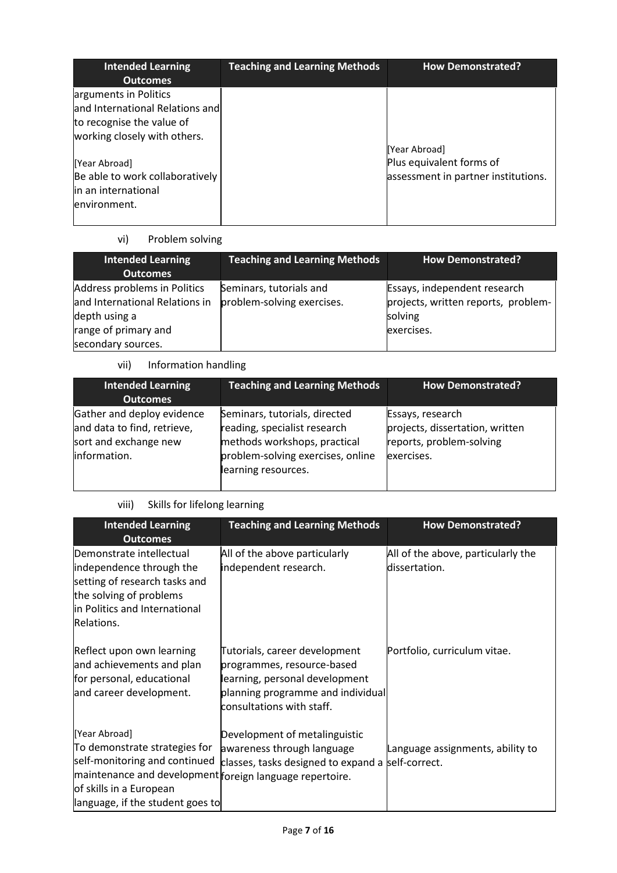| <b>Intended Learning</b>        | <b>Teaching and Learning Methods</b> | <b>How Demonstrated?</b>            |
|---------------------------------|--------------------------------------|-------------------------------------|
| <b>Outcomes</b>                 |                                      |                                     |
| arguments in Politics           |                                      |                                     |
| and International Relations and |                                      |                                     |
| to recognise the value of       |                                      |                                     |
| working closely with others.    |                                      |                                     |
|                                 |                                      | [Year Abroad]                       |
| [Year Abroad]                   |                                      | Plus equivalent forms of            |
| Be able to work collaboratively |                                      | assessment in partner institutions. |
| in an international             |                                      |                                     |
| environment.                    |                                      |                                     |
|                                 |                                      |                                     |

# vi) Problem solving

| Intended Learning<br><b>Outcomes</b>                                                                                          | <b>Teaching and Learning Methods</b>                  | How Demonstrated?                                                                            |
|-------------------------------------------------------------------------------------------------------------------------------|-------------------------------------------------------|----------------------------------------------------------------------------------------------|
| Address problems in Politics<br>and International Relations in<br>depth using a<br>range of primary and<br>secondary sources. | Seminars, tutorials and<br>problem-solving exercises. | Essays, independent research<br>projects, written reports, problem-<br>solving<br>exercises. |

# vii) Information handling

| <b>Intended Learning</b><br><b>Outcomes</b>                                                        | <b>Teaching and Learning Methods</b>                                                                                                                      | <b>How Demonstrated?</b>                                                                      |
|----------------------------------------------------------------------------------------------------|-----------------------------------------------------------------------------------------------------------------------------------------------------------|-----------------------------------------------------------------------------------------------|
| Gather and deploy evidence<br>and data to find, retrieve,<br>sort and exchange new<br>information. | Seminars, tutorials, directed<br>reading, specialist research<br>methods workshops, practical<br>problem-solving exercises, online<br>learning resources. | Essays, research<br>projects, dissertation, written<br>reports, problem-solving<br>exercises. |

### viii) Skills for lifelong learning

| <b>Intended Learning</b><br><b>Outcomes</b>                                                                                                                                                                | <b>Teaching and Learning Methods</b>                                                                                                                            | <b>How Demonstrated?</b>                            |
|------------------------------------------------------------------------------------------------------------------------------------------------------------------------------------------------------------|-----------------------------------------------------------------------------------------------------------------------------------------------------------------|-----------------------------------------------------|
| Demonstrate intellectual<br>independence through the<br>setting of research tasks and<br>the solving of problems<br>in Politics and International<br>Relations.                                            | All of the above particularly<br>independent research.                                                                                                          | All of the above, particularly the<br>dissertation. |
| Reflect upon own learning<br>and achievements and plan<br>for personal, educational<br>and career development.                                                                                             | Tutorials, career development<br>programmes, resource-based<br>learning, personal development<br>planning programme and individual<br>consultations with staff. | Portfolio, curriculum vitae.                        |
| [Year Abroad]<br>To demonstrate strategies for<br>self-monitoring and continued<br>maintenance and development foreign language repertoire.<br>of skills in a European<br>language, if the student goes to | Development of metalinguistic<br>awareness through language<br>classes, tasks designed to expand a                                                              | Language assignments, ability to<br>self-correct.   |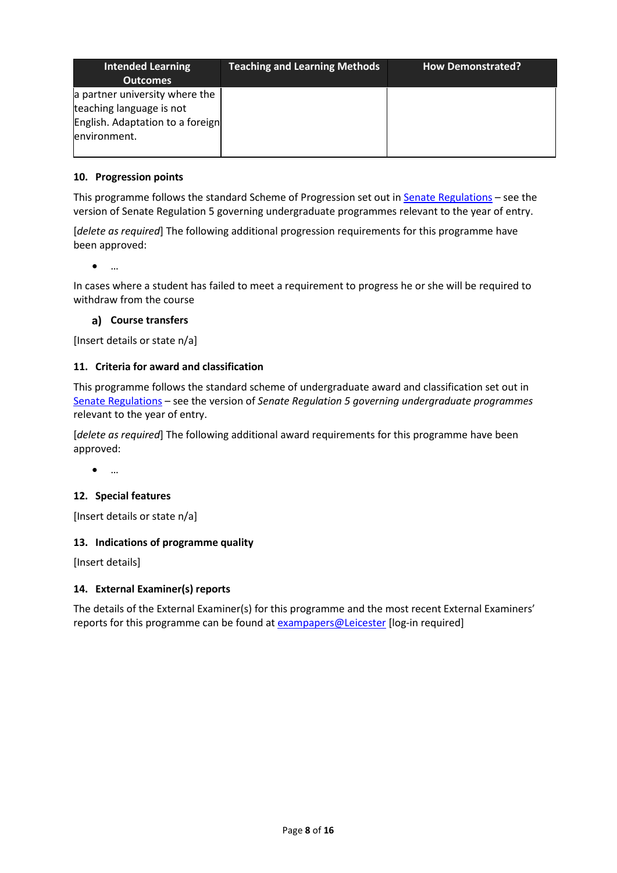| <b>Intended Learning</b><br><b>Outcomes</b>                                                                    | <b>Teaching and Learning Methods</b> | <b>How Demonstrated?</b> |
|----------------------------------------------------------------------------------------------------------------|--------------------------------------|--------------------------|
| a partner university where the<br>teaching language is not<br>English. Adaptation to a foreign<br>environment. |                                      |                          |

### **10. Progression points**

This programme follows the standard Scheme of Progression set out i[n Senate Regulations](http://www.le.ac.uk/senate-regulations) - see the version of Senate Regulation 5 governing undergraduate programmes relevant to the year of entry.

[*delete as required*] The following additional progression requirements for this programme have been approved:

• …

In cases where a student has failed to meet a requirement to progress he or she will be required to withdraw from the course

### **Course transfers**

[Insert details or state n/a]

### **11. Criteria for award and classification**

This programme follows the standard scheme of undergraduate award and classification set out in [Senate Regulations](http://www.le.ac.uk/senate-regulations) – see the version of *Senate Regulation 5 governing undergraduate programmes* relevant to the year of entry.

[*delete as required*] The following additional award requirements for this programme have been approved:

• …

### **12. Special features**

[Insert details or state n/a]

### **13. Indications of programme quality**

[Insert details]

### **14. External Examiner(s) reports**

The details of the External Examiner(s) for this programme and the most recent External Examiners' reports for this programme can be found at **[exampapers@Leicester](https://exampapers.le.ac.uk/)** [log-in required]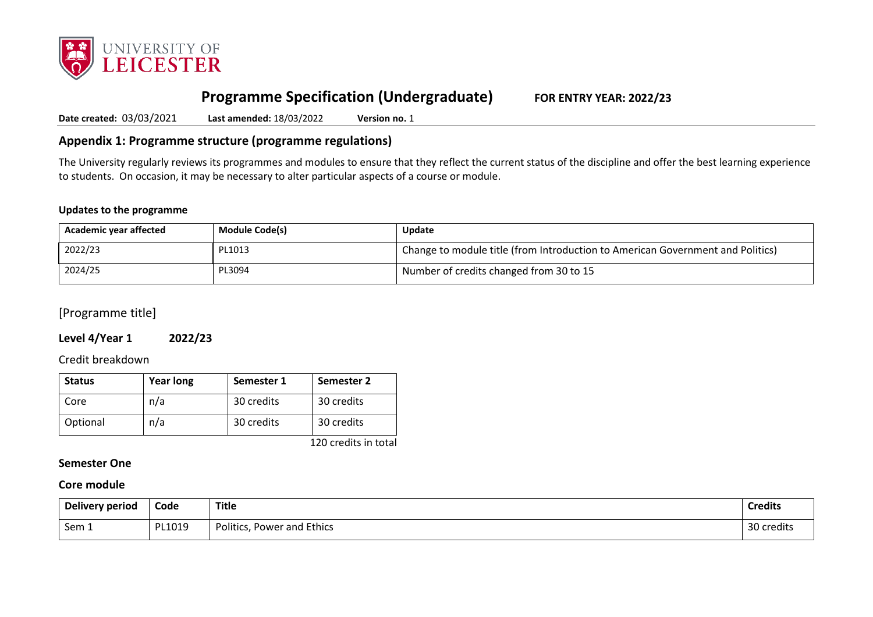

# **Programme Specification (Undergraduate) FOR ENTRY YEAR: 2022/23**

**Date created:** 03/03/2021 **Last amended:** 18/03/2022 **Version no.** 1

### **Appendix 1: Programme structure (programme regulations)**

The University regularly reviews its programmes and modules to ensure that they reflect the current status of the discipline and offer the best learning experience to students. On occasion, it may be necessary to alter particular aspects of a course or module.

#### **Updates to the programme**

| Academic year affected | <b>Module Code(s)</b> | <b>Update</b>                                                                  |
|------------------------|-----------------------|--------------------------------------------------------------------------------|
| 2022/23                | PL1013                | Change to module title (from Introduction to American Government and Politics) |
| 2024/25                | PL3094                | Number of credits changed from 30 to 15                                        |

[Programme title]

#### **Level 4/Year 1 2022/23**

Credit breakdown

| <b>Status</b> | <b>Year long</b> | Semester 1 | Semester 2 |
|---------------|------------------|------------|------------|
| Core          | n/a              | 30 credits | 30 credits |
| Optional      | n/a              | 30 credits | 30 credits |

120 credits in total

#### **Semester One**

### **Core module**

| Delivery period | Code   | Title                         | <b>Credits</b> |
|-----------------|--------|-------------------------------|----------------|
| Sem 1           | PL1019 | Power and Ethics<br>Politics, | 30 credits     |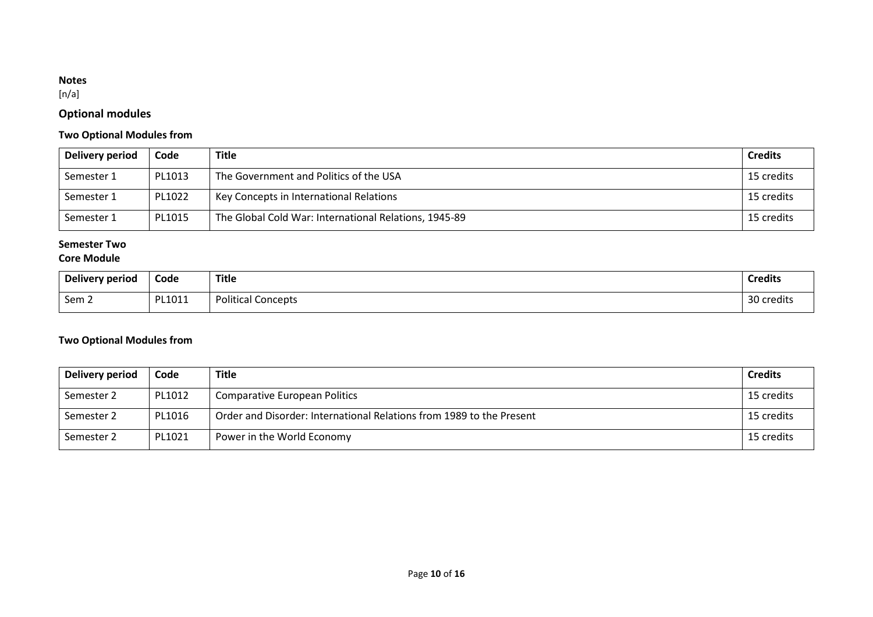### **Notes**

 $[n/a]$ 

# **Optional modules**

### **Two Optional Modules from**

| Delivery period | Code   | <b>Title</b>                                          | <b>Credits</b> |
|-----------------|--------|-------------------------------------------------------|----------------|
| Semester 1      | PL1013 | The Government and Politics of the USA                | 15 credits     |
| Semester 1      | PL1022 | Key Concepts in International Relations               | 15 credits     |
| Semester 1      | PL1015 | The Global Cold War: International Relations, 1945-89 | 15 credits     |

### **Semester Two**

### **Core Module**

| Delivery period  | Code              | <b>Title</b>              | <b>Credits</b>       |
|------------------|-------------------|---------------------------|----------------------|
| Sem <sub>2</sub> | DI 1011<br>TIUTT. | <b>Political Concepts</b> | 30<br>.<br>\ credits |

### **Two Optional Modules from**

| Delivery period | Code   | <b>Title</b>                                                         | <b>Credits</b> |
|-----------------|--------|----------------------------------------------------------------------|----------------|
| Semester 2      | PL1012 | <b>Comparative European Politics</b>                                 | 15 credits     |
| Semester 2      | PL1016 | Order and Disorder: International Relations from 1989 to the Present | 15 credits     |
| Semester 2      | PL1021 | Power in the World Economy                                           | 15 credits     |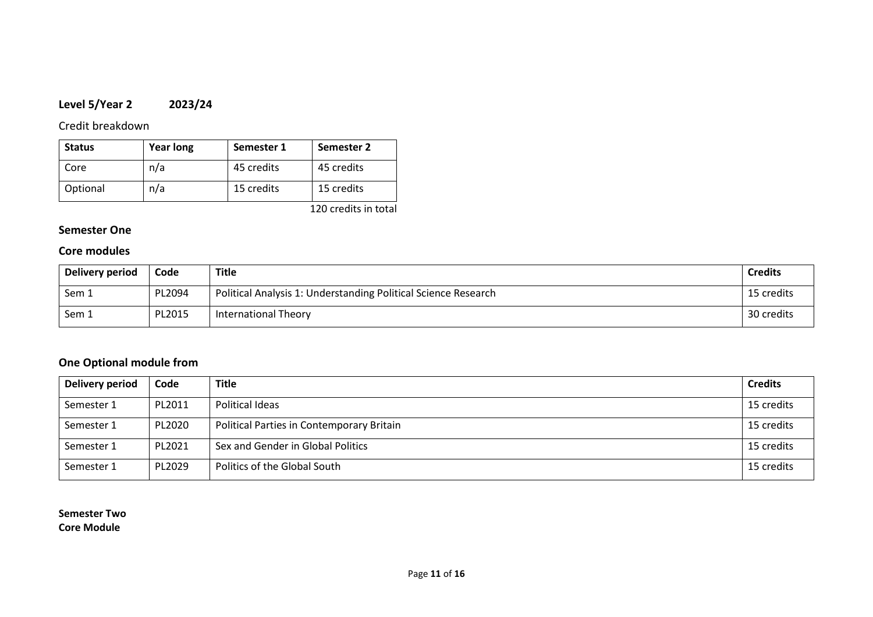# **Level 5/Year 2 2023/24**

Credit breakdown

| <b>Status</b> | <b>Year long</b> | Semester 1 | Semester 2 |
|---------------|------------------|------------|------------|
| Core          | n/a              | 45 credits | 45 credits |
| Optional      | n/a              | 15 credits | 15 credits |

120 credits in total

### **Semester One**

### **Core modules**

| Delivery period | Code   | Title                                                          | <b>Credits</b> |
|-----------------|--------|----------------------------------------------------------------|----------------|
| Sem 1           | PL2094 | Political Analysis 1: Understanding Political Science Research | 15 credits     |
| Sem 1           | PL2015 | <b>International Theory</b>                                    | 30 credits     |

# **One Optional module from**

| Delivery period | Code   | <b>Title</b>                              | <b>Credits</b> |
|-----------------|--------|-------------------------------------------|----------------|
| Semester 1      | PL2011 | Political Ideas                           | 15 credits     |
| Semester 1      | PL2020 | Political Parties in Contemporary Britain | 15 credits     |
| Semester 1      | PL2021 | Sex and Gender in Global Politics         | 15 credits     |
| Semester 1      | PL2029 | Politics of the Global South              | 15 credits     |

**Semester Two Core Module**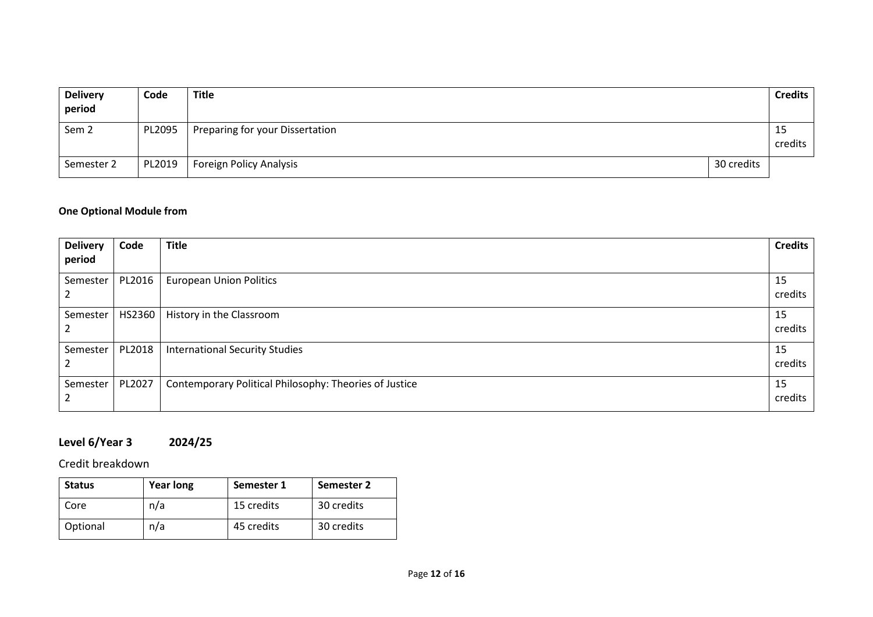| <b>Delivery</b><br>period | Code   | Title                           |            | <b>Credits</b> |
|---------------------------|--------|---------------------------------|------------|----------------|
| Sem <sub>2</sub>          | PL2095 | Preparing for your Dissertation |            | 15<br>credits  |
| Semester 2                | PL2019 | Foreign Policy Analysis         | 30 credits |                |

# **One Optional Module from**

| <b>Delivery</b>             | Code   | <b>Title</b>                                           | <b>Credits</b> |
|-----------------------------|--------|--------------------------------------------------------|----------------|
| period                      |        |                                                        |                |
| Semester                    | PL2016 | <b>European Union Politics</b>                         | 15             |
| $\epsilon$                  |        |                                                        | credits        |
| Semester                    | HS2360 | History in the Classroom                               | 15             |
| $\mathcal{L}_{\mathcal{L}}$ |        |                                                        | credits        |
| Semester                    | PL2018 | <b>International Security Studies</b>                  | 15             |
| $\mathcal{L}$               |        |                                                        | credits        |
| Semester                    | PL2027 | Contemporary Political Philosophy: Theories of Justice | 15             |
| $\mathcal{L}$               |        |                                                        | credits        |

# **Level 6/Year 3 2024/25**

Credit breakdown

| <b>Status</b> | <b>Year long</b> | Semester 1 | Semester 2 |
|---------------|------------------|------------|------------|
| Core          | n/a              | 15 credits | 30 credits |
| Optional      | n/a              | 45 credits | 30 credits |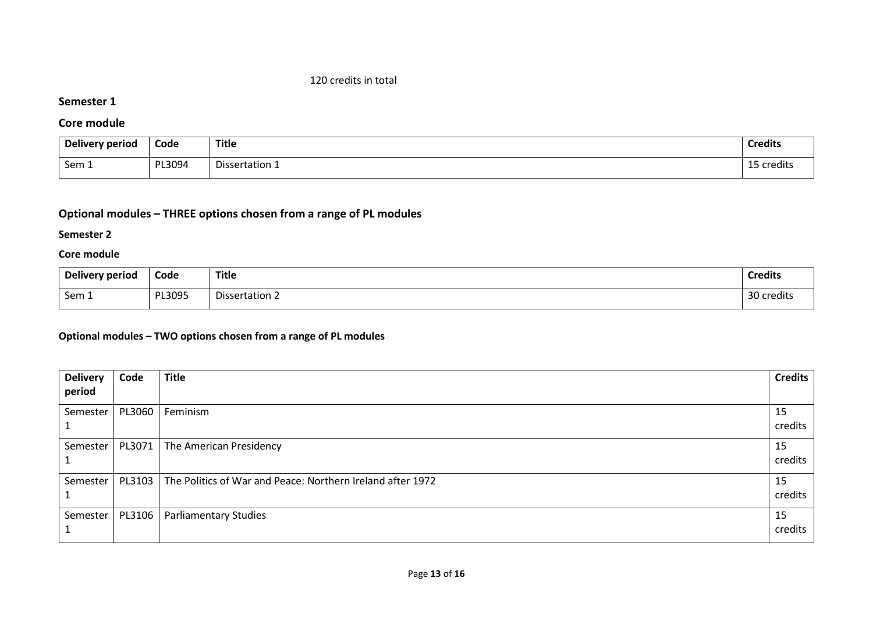#### 120 credits in total

#### **Semester 1**

### **Core module**

| Delivery period | Code   | <b>Title</b>          | Credits   |
|-----------------|--------|-----------------------|-----------|
| Sem 1           | PL3094 | - -<br>Dissertation 1 | credits ہ |

# **Optional modules – THREE options chosen from a range of PL modules**

### **Semester 2**

### **Core module**

| Delivery period | Code   | Title          | <b>Credits</b> |
|-----------------|--------|----------------|----------------|
| Sem 1           | PL3095 | Dissertation 2 | 30 credits     |

### **Optional modules – TWO options chosen from a range of PL modules**

| <b>Delivery</b> | Code   | <b>Title</b>                                               | <b>Credits</b> |
|-----------------|--------|------------------------------------------------------------|----------------|
| period          |        |                                                            |                |
| Semester        | PL3060 | Feminism                                                   | 15<br>credits  |
| Semester        | PL3071 | The American Presidency                                    | 15<br>credits  |
| Semester        | PL3103 | The Politics of War and Peace: Northern Ireland after 1972 | 15<br>credits  |
| Semester        | PL3106 | <b>Parliamentary Studies</b>                               | 15<br>credits  |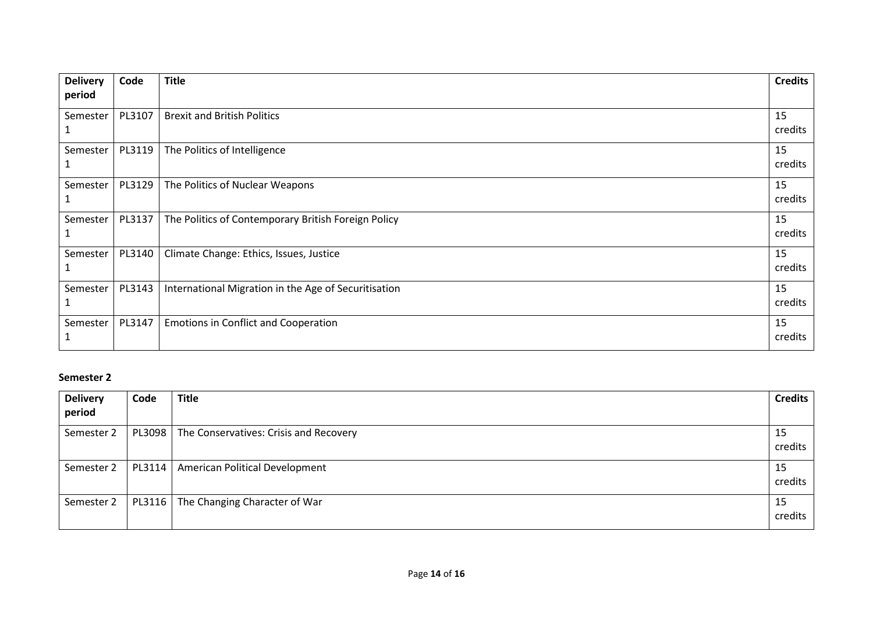| <b>Delivery</b> | Code   | <b>Title</b>                                         | <b>Credits</b> |
|-----------------|--------|------------------------------------------------------|----------------|
| period          |        |                                                      |                |
| Semester        | PL3107 | <b>Brexit and British Politics</b>                   | 15<br>credits  |
| Semester        | PL3119 | The Politics of Intelligence                         | 15<br>credits  |
| Semester        | PL3129 | The Politics of Nuclear Weapons                      | 15<br>credits  |
| Semester        | PL3137 | The Politics of Contemporary British Foreign Policy  | 15<br>credits  |
| Semester        | PL3140 | Climate Change: Ethics, Issues, Justice              | 15<br>credits  |
| Semester        | PL3143 | International Migration in the Age of Securitisation | 15<br>credits  |
| Semester        | PL3147 | <b>Emotions in Conflict and Cooperation</b>          | 15<br>credits  |

### **Semester 2**

| <b>Delivery</b><br>period | Code   | <b>Title</b>                                    | <b>Credits</b> |
|---------------------------|--------|-------------------------------------------------|----------------|
|                           |        |                                                 |                |
| Semester 2                |        | PL3098   The Conservatives: Crisis and Recovery | 15             |
|                           |        |                                                 | credits        |
| Semester 2                | PL3114 | <b>American Political Development</b>           | 15             |
|                           |        |                                                 | credits        |
| Semester 2                | PL3116 | The Changing Character of War                   | 15             |
|                           |        |                                                 | credits        |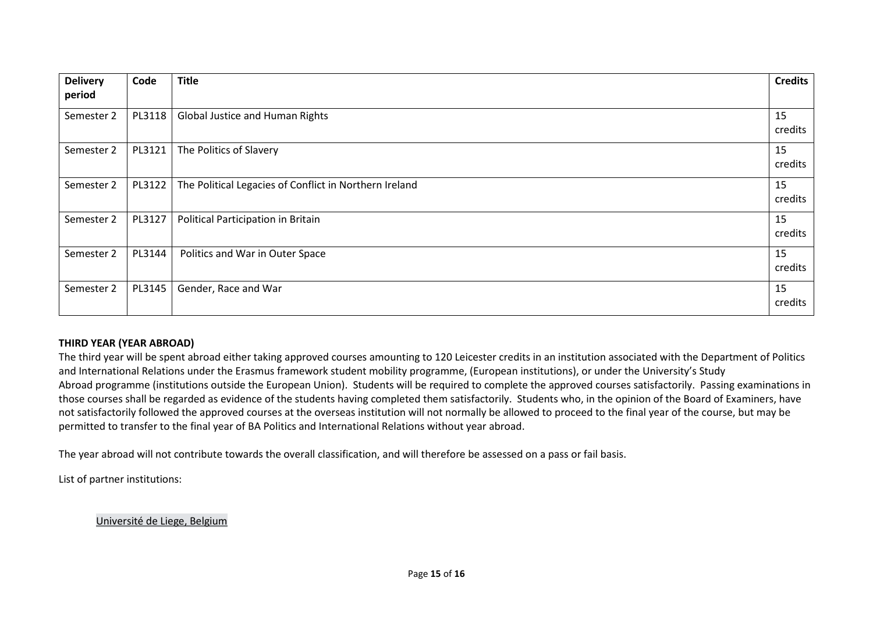| <b>Delivery</b> | Code   | <b>Title</b>                                           | <b>Credits</b> |
|-----------------|--------|--------------------------------------------------------|----------------|
| period          |        |                                                        |                |
| Semester 2      | PL3118 | <b>Global Justice and Human Rights</b>                 | 15<br>credits  |
| Semester 2      | PL3121 | The Politics of Slavery                                | 15<br>credits  |
| Semester 2      | PL3122 | The Political Legacies of Conflict in Northern Ireland | 15<br>credits  |
| Semester 2      | PL3127 | Political Participation in Britain                     | 15<br>credits  |
| Semester 2      | PL3144 | Politics and War in Outer Space                        | 15<br>credits  |
| Semester 2      | PL3145 | Gender, Race and War                                   | 15<br>credits  |

#### **THIRD YEAR (YEAR ABROAD)**

The third year will be spent abroad either taking approved courses amounting to 120 Leicester credits in an institution associated with the Department of Politics and International Relations under the Erasmus framework student mobility programme, (European institutions), or under the University's Study Abroad programme (institutions outside the European Union). Students will be required to complete the approved courses satisfactorily. Passing examinations in those courses shall be regarded as evidence of the students having completed them satisfactorily. Students who, in the opinion of the Board of Examiners, have not satisfactorily followed the approved courses at the overseas institution will not normally be allowed to proceed to the final year of the course, but may be permitted to transfer to the final year of BA Politics and International Relations without year abroad.

The year abroad will not contribute towards the overall classification, and will therefore be assessed on a pass or fail basis.

List of partner institutions:

Université [de Liege, Belgium](https://www.ulg.ac.be/cms/c_5000/en/home)